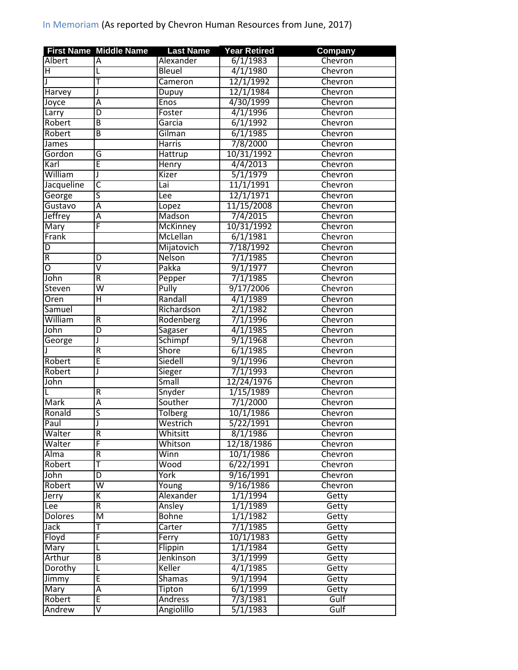|                | <b>First Name Middle Name</b> | <b>Last Name</b> | <b>Year Retired</b> | Company |
|----------------|-------------------------------|------------------|---------------------|---------|
| <b>Albert</b>  | A                             | Alexander        | 6/1/1983            | Chevron |
| Н              | L                             | <b>Bleuel</b>    | 4/1/1980            | Chevron |
|                | Ŧ                             | Cameron          | 12/1/1992           | Chevron |
| Harvey         | J                             | Dupuy            | 12/1/1984           | Chevron |
| Joyce          | Ā                             | Enos             | 4/30/1999           | Chevron |
| Larry          | D                             | Foster           | 4/1/1996            | Chevron |
| Robert         | $\overline{B}$                | Garcia           | 6/1/1992            | Chevron |
| Robert         | B                             | Gilman           | 6/1/1985            | Chevron |
| <b>James</b>   |                               | <b>Harris</b>    | 7/8/2000            | Chevron |
| Gordon         | G                             | Hattrup          | 10/31/1992          | Chevron |
| Karl           | E                             | <b>Henry</b>     | 4/4/2013            | Chevron |
| William        | J                             | Kizer            | 5/1/1979            | Chevron |
| Jacqueline     | $\overline{\mathsf{C}}$       | Lai              | 11/1/1991           | Chevron |
| George         | ς                             | Lee              | 12/1/1971           | Chevron |
| Gustavo        | Ā                             | Lopez            | 11/15/2008          | Chevron |
| Jeffrey        | $\overline{A}$                | Madson           | 7/4/2015            | Chevron |
|                | F                             |                  | 10/31/1992          | Chevron |
| <b>Mary</b>    |                               | <b>McKinney</b>  |                     |         |
| Frank          |                               | McLellan         | 6/1/1981            | Chevron |
| D              |                               | Mijatovich       | 7/18/1992           | Chevron |
| R              | D                             | Nelson           | 7/1/1985            | Chevron |
| O              | $\overline{\mathsf{v}}$       | Pakka            | 9/1/1977            | Chevron |
| John           | $\overline{R}$                | Pepper           | 7/1/1985            | Chevron |
| Steven         | $\overline{\mathsf{w}}$       | Pully            | 9/17/2006           | Chevron |
| Oren           | $\overline{\mathsf{H}}$       | Randall          | 4/1/1989            | Chevron |
| Samuel         |                               | Richardson       | 2/1/1982            | Chevron |
| William        | R                             | Rodenberg        | 7/1/1996            | Chevron |
| John           | $\overline{\mathsf{D}}$       | Sagaser          | 4/1/1985            | Chevron |
| George         | J                             | Schimpf          | 9/1/1968            | Chevron |
|                | $\overline{R}$                | Shore            | 6/1/1985            | Chevron |
| Robert         | Ē                             | Siedell          | 9/1/1996            | Chevron |
| Robert         | J                             | <b>Sieger</b>    | 7/1/1993            | Chevron |
| John           |                               | Small            | 12/24/1976          | Chevron |
|                | R                             | Snyder           | 1/15/1989           | Chevron |
| Mark           | Α                             | Souther          | 7/1/2000            | Chevron |
| Ronald         | $\overline{\mathsf{s}}$       | <b>Tolberg</b>   | 10/1/1986           | Chevron |
| Paul           |                               | Westrich         | 5/22/1991           | Chevron |
| Walter         | R                             | Whitsitt         | 8/1/1986            | Chevron |
| Walter         | F                             | Whitson          | 12/18/1986          | Chevron |
| <b>Alma</b>    | R                             | Winn             | 10/1/1986           | Chevron |
| Robert         | Ŧ                             | Wood             | 6/22/1991           | Chevron |
| John           | $\overline{D}$                | York             | 9/16/1991           | Chevron |
| Robert         | $\overline{\mathsf{w}}$       | Young            | 9/16/1986           | Chevron |
| Jerry          | K                             | Alexander        | 1/1/1994            | Getty   |
| Lee            | $\overline{R}$                | Ansley           | 1/1/1989            | Getty   |
| <b>Dolores</b> | $\overline{\mathsf{M}}$       | <b>Bohne</b>     | 1/1/1982            | Getty   |
| Jack           | T                             | Carter           | 7/1/1985            | Getty   |
| Floyd          | F                             | Ferry            | 10/1/1983           | Getty   |
| Mary           | L                             | Flippin          | 1/1/1984            | Getty   |
| Arthur         | $\overline{B}$                | Jenkinson        | 3/1/1999            | Getty   |
| Dorothy        | L                             | Keller           | 4/1/1985            | Getty   |
| Jimmy          | Έ                             | <b>Shamas</b>    | 9/1/1994            | Getty   |
|                | Ā                             |                  | 6/1/1999            |         |
| Mary<br>Robert |                               | Tipton           |                     | Getty   |
|                | E                             | <b>Andress</b>   | 7/3/1981            | Gulf    |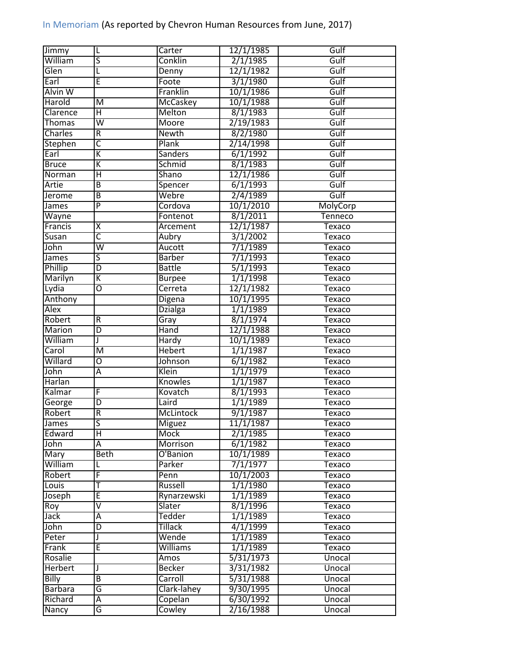| Jimmy                  | L                       | Carter                   | 12/1/1985 | Gulf          |
|------------------------|-------------------------|--------------------------|-----------|---------------|
| William                | S                       | Conklin                  | 2/1/1985  | Gulf          |
| Glen                   | L                       | Denny                    | 12/1/1982 | Gulf          |
| Earl                   | Ē                       | Foote                    | 3/1/1980  | Gulf          |
| Alvin W                |                         | Franklin                 | 10/1/1986 | Gulf          |
| Harold                 | M                       | McCaskey                 | 10/1/1988 | Gulf          |
| Clarence               | Ή                       | Melton                   | 8/1/1983  | Gulf          |
| Thomas                 | $\overline{\mathsf{W}}$ | Moore                    | 2/19/1983 | Gulf          |
| Charles                | R                       | <b>Newth</b>             | 8/2/1980  | Gulf          |
| Stephen                | $\overline{\mathsf{C}}$ | Plank                    | 2/14/1998 | Gulf          |
| Earl                   | K                       | Sanders                  | 6/1/1992  | Gulf          |
| <b>Bruce</b>           | Κ                       | Schmid                   | 8/1/1983  | Gulf          |
| Norman                 | Ή                       | <b>Shano</b>             | 12/1/1986 | Gulf          |
| Artie                  | $\overline{B}$          | Spencer                  | 6/1/1993  | Gulf          |
| Jerome                 | $\overline{B}$          | Webre                    | 2/4/1989  | Gulf          |
| James                  | $\overline{P}$          | Cordova                  | 10/1/2010 | MolyCorp      |
| Wayne                  |                         | Fontenot                 | 8/1/2011  | Tenneco       |
| Francis                | $\overline{\mathsf{x}}$ | Arcement                 | 12/1/1987 | Texaco        |
| Susan                  | $\overline{\mathsf{c}}$ | Aubry                    | 3/1/2002  | Texaco        |
| John                   | $\overline{\mathsf{w}}$ | Aucott                   | 7/1/1989  | Texaco        |
| James                  | ς                       | <b>Barber</b>            | 7/1/1993  | Texaco        |
| Phillip                | $\overline{D}$          | <b>Battle</b>            | 5/1/1993  | Texaco        |
| Marilyn                | $\overline{\mathsf{K}}$ | <b>Burpee</b>            | 1/1/1998  | Texaco        |
| Lydia                  | 0                       | Cerreta                  | 12/1/1982 | <b>Texaco</b> |
|                        |                         |                          | 10/1/1995 | Texaco        |
| Anthony<br><b>Alex</b> |                         | Digena<br><b>Dzialga</b> | 1/1/1989  | <b>Texaco</b> |
|                        |                         |                          | 8/1/1974  |               |
| Robert                 | R                       | Gray                     |           | Texaco        |
| Marion<br>William      | D                       | Hand                     | 12/1/1988 | <b>Texaco</b> |
|                        | J                       | Hardy                    | 10/1/1989 | Texaco        |
| Carol                  | $\overline{\mathsf{M}}$ | <b>Hebert</b>            | 1/1/1987  | Texaco        |
| Willard                | ō                       | Johnson                  | 6/1/1982  | Texaco        |
| John                   | Ā                       | Klein                    | 1/1/1979  | Texaco        |
| Harlan                 |                         | Knowles                  | 1/1/1987  | Texaco        |
| Kalmar                 | F                       | Kovatch                  | 8/1/1993  | Texaco        |
| George                 | D                       | Laird                    | 1/1/1989  | Texaco        |
| Robert                 | $\overline{R}$          | <b>McLintock</b>         | 9/1/1987  | Texaco        |
| James                  | S                       | <b>Miguez</b>            | 11/1/1987 | Texaco        |
| Edward                 | н                       | Mock                     | 2/1/1985  | Texaco        |
| John                   | А                       | Morrison                 | 6/1/1982  | <b>Texaco</b> |
| <b>Mary</b>            | <b>Beth</b>             | O'Banion                 | 10/1/1989 | Texaco        |
| William                | L                       | Parker                   | 7/1/1977  | Texaco        |
| Robert                 | F                       | Penn                     | 10/1/2003 | Texaco        |
| Louis                  | т                       | Russell                  | 1/1/1980  | Texaco        |
| Joseph                 | E                       | Rynarzewski              | 1/1/1989  | Texaco        |
| Roy                    | ⊽                       | Slater                   | 8/1/1996  | Texaco        |
| Jack                   | Α                       | Tedder                   | 1/1/1989  | Texaco        |
| John                   | D                       | <b>Tillack</b>           | 4/1/1999  | Texaco        |
| Peter                  | J                       | Wende                    | 1/1/1989  | Texaco        |
| Frank                  | E                       | Williams                 | 1/1/1989  | Texaco        |
| Rosalie                |                         | Amos                     | 5/31/1973 | Unocal        |
| <b>Herbert</b>         | J                       | <b>Becker</b>            | 3/31/1982 | Unocal        |
| <b>Billy</b>           | B                       | Carroll                  | 5/31/1988 | Unocal        |
| <b>Barbara</b>         | G                       | Clark-lahey              | 9/30/1995 | Unocal        |
| Richard                | А                       | Copelan                  | 6/30/1992 | Unocal        |
|                        |                         |                          |           |               |